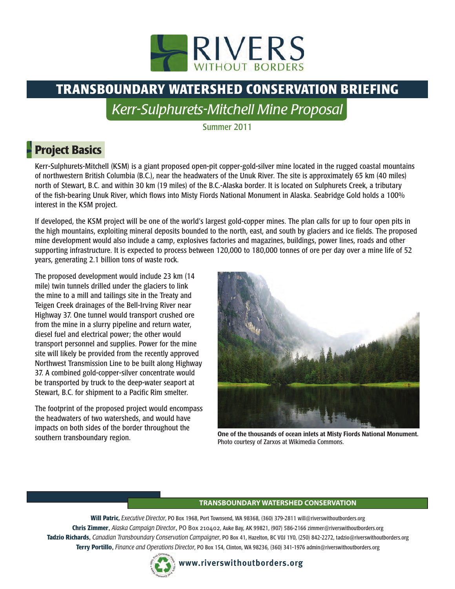

# **TRANSBOUNDARY WATERSHED CONSERVATION BRIEFING**

*Kerr-Sulphurets-Mitchell Mine Proposal*

Summer 2011

# **Project Basics**

Kerr-Sulphurets-Mitchell (KSM) is a giant proposed open-pit copper-gold-silver mine located in the rugged coastal mountains of northwestern British Columbia (B.C.), near the headwaters of the Unuk River. The site is approximately 65 km (40 miles) north of Stewart, B.C. and within 30 km (19 miles) of the B.C.-Alaska border. It is located on Sulphurets Creek, a tributary of the fish-bearing Unuk River, which flows into Misty Fiords National Monument in Alaska. Seabridge Gold holds a 100% interest in the KSM project.

If developed, the KSM project will be one of the world's largest gold-copper mines. The plan calls for up to four open pits in the high mountains, exploiting mineral deposits bounded to the north, east, and south by glaciers and ice fields. The proposed mine development would also include a camp, explosives factories and magazines, buildings, power lines, roads and other supporting infrastructure. It is expected to process between 120,000 to 180,000 tonnes of ore per day over a mine life of 52 years, generating 2.1 billion tons of waste rock.

The proposed development would include 23 km (14 mile) twin tunnels drilled under the glaciers to link the mine to a mill and tailings site in the Treaty and Teigen Creek drainages of the Bell-Irving River near Highway 37. One tunnel would transport crushed ore from the mine in a slurry pipeline and return water, diesel fuel and electrical power; the other would transport personnel and supplies. Power for the mine site will likely be provided from the recently approved Northwest Transmission Line to be built along Highway 37. A combined gold-copper-silver concentrate would be transported by truck to the deep-water seaport at Stewart, B.C. for shipment to a Pacific Rim smelter.

The footprint of the proposed project would encompass the headwaters of two watersheds, and would have impacts on both sides of the border throughout the southern transboundary region.



One of the thousands of ocean inlets at Misty Fiords National Monument. Photo courtesy of Zarxos at Wikimedia Commons.

#### **TRANSBOUNDARY WATERSHED CONSERVATION**

**Will Patric,** *Executive Director*, PO Box 1968, Port Townsend, WA 98368, (360) 379-2811 will@riverswithoutborders.org **Chris Zimmer**, *Alaska Campaign Director*, PO Box 210402, Auke Bay, AK 99821, (907) 586-2166 zimmer@riverswithoutborders.org **Tadzio Richards**, *Canadian Transboundary Conservation Campaigner*, PO Box 41, Hazelton, BC V0J 1Y0, (250) 842-2272, tadzio@riverswithoutborders.org **Terry Portillo**, *Finance and Operations Director*, PO Box 154, Clinton, WA 98236, (360) 341-1976 admin@riverswithoutborders.org

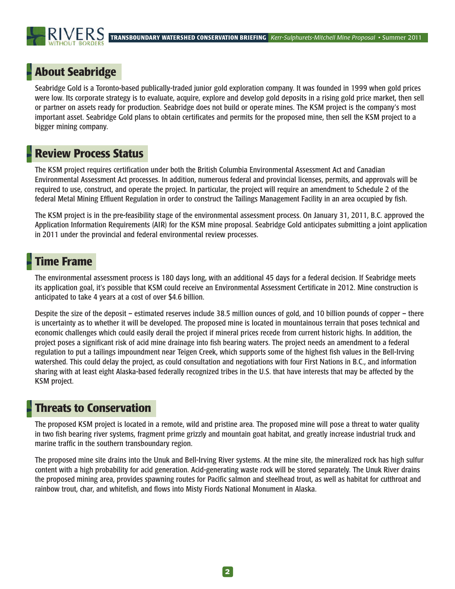## **About Seabridge**

Seabridge Gold is a Toronto-based publically-traded junior gold exploration company. It was founded in 1999 when gold prices were low. Its corporate strategy is to evaluate, acquire, explore and develop gold deposits in a rising gold price market, then sell or partner on assets ready for production. Seabridge does not build or operate mines. The KSM project is the company's most important asset. Seabridge Gold plans to obtain certificates and permits for the proposed mine, then sell the KSM project to a bigger mining company.

#### **Review Process Status**

The KSM project requires certification under both the British Columbia Environmental Assessment Act and Canadian Environmental Assessment Act processes. In addition, numerous federal and provincial licenses, permits, and approvals will be required to use, construct, and operate the project. In particular, the project will require an amendment to Schedule 2 of the federal Metal Mining Effluent Regulation in order to construct the Tailings Management Facility in an area occupied by fish.

The KSM project is in the pre-feasibility stage of the environmental assessment process. On January 31, 2011, B.C. approved the Application Information Requirements (AIR) for the KSM mine proposal. Seabridge Gold anticipates submitting a joint application in 2011 under the provincial and federal environmental review processes.

#### **Time Frame**

The environmental assessment process is 180 days long, with an additional 45 days for a federal decision. If Seabridge meets its application goal, it's possible that KSM could receive an Environmental Assessment Certificate in 2012. Mine construction is anticipated to take 4 years at a cost of over \$4.6 billion.

Despite the size of the deposit – estimated reserves include 38.5 million ounces of gold, and 10 billion pounds of copper – there is uncertainty as to whether it will be developed. The proposed mine is located in mountainous terrain that poses technical and economic challenges which could easily derail the project if mineral prices recede from current historic highs. In addition, the project poses a significant risk of acid mine drainage into fish bearing waters. The project needs an amendment to a federal regulation to put a tailings impoundment near Teigen Creek, which supports some of the highest fish values in the Bell-Irving watershed. This could delay the project, as could consultation and negotiations with four First Nations in B.C., and information sharing with at least eight Alaska-based federally recognized tribes in the U.S. that have interests that may be affected by the KSM project.

#### **Threats to Conservation**

The proposed KSM project is located in a remote, wild and pristine area. The proposed mine will pose a threat to water quality in two fish bearing river systems, fragment prime grizzly and mountain goat habitat, and greatly increase industrial truck and marine traffic in the southern transboundary region.

The proposed mine site drains into the Unuk and Bell-Irving River systems. At the mine site, the mineralized rock has high sulfur content with a high probability for acid generation. Acid-generating waste rock will be stored separately. The Unuk River drains the proposed mining area, provides spawning routes for Pacific salmon and steelhead trout, as well as habitat for cutthroat and rainbow trout, char, and whitefish, and flows into Misty Fiords National Monument in Alaska.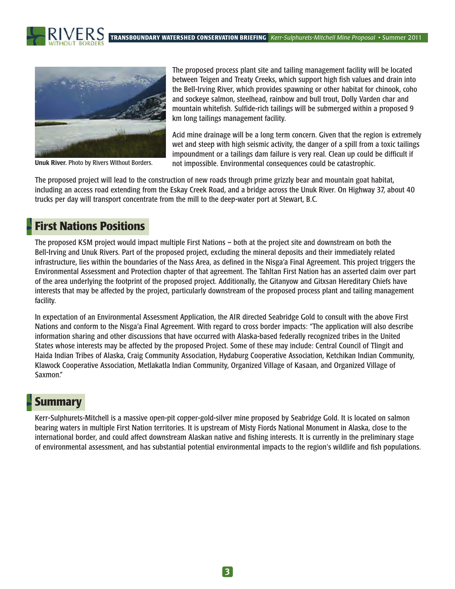**TRANSBOUNDARY WATERSHED CONSERVATION BRIEFING** *Kerr-Sulphurets-Mitchell Mine Proposal* • Summer 2011





Unuk River. Photo by Rivers Without Borders.

The proposed process plant site and tailing management facility will be located between Teigen and Treaty Creeks, which support high fish values and drain into the Bell-Irving River, which provides spawning or other habitat for chinook, coho and sockeye salmon, steelhead, rainbow and bull trout, Dolly Varden char and mountain whitefish. Sulfide-rich tailings will be submerged within a proposed 9 km long tailings management facility.

Acid mine drainage will be a long term concern. Given that the region is extremely wet and steep with high seismic activity, the danger of a spill from a toxic tailings impoundment or a tailings dam failure is very real. Clean up could be difficult if not impossible. Environmental consequences could be catastrophic.

The proposed project will lead to the construction of new roads through prime grizzly bear and mountain goat habitat, including an access road extending from the Eskay Creek Road, and a bridge across the Unuk River. On Highway 37, about 40 trucks per day will transport concentrate from the mill to the deep-water port at Stewart, B.C.

### **First Nations Positions**

The proposed KSM project would impact multiple First Nations – both at the project site and downstream on both the Bell-Irving and Unuk Rivers. Part of the proposed project, excluding the mineral deposits and their immediately related infrastructure, lies within the boundaries of the Nass Area, as defined in the Nisga'a Final Agreement. This project triggers the Environmental Assessment and Protection chapter of that agreement. The Tahltan First Nation has an asserted claim over part of the area underlying the footprint of the proposed project. Additionally, the Gitanyow and Gitxsan Hereditary Chiefs have interests that may be affected by the project, particularly downstream of the proposed process plant and tailing management facility.

In expectation of an Environmental Assessment Application, the AIR directed Seabridge Gold to consult with the above First Nations and conform to the Nisga'a Final Agreement. With regard to cross border impacts: "The application will also describe information sharing and other discussions that have occurred with Alaska-based federally recognized tribes in the United States whose interests may be affected by the proposed Project. Some of these may include: Central Council of Tlingit and Haida Indian Tribes of Alaska, Craig Community Association, Hydaburg Cooperative Association, Ketchikan Indian Community, Klawock Cooperative Association, Metlakatla Indian Community, Organized Village of Kasaan, and Organized Village of Saxmon."

#### **Summary**

Kerr-Sulphurets-Mitchell is a massive open-pit copper-gold-silver mine proposed by Seabridge Gold. It is located on salmon bearing waters in multiple First Nation territories. It is upstream of Misty Fiords National Monument in Alaska, close to the international border, and could affect downstream Alaskan native and fishing interests. It is currently in the preliminary stage of environmental assessment, and has substantial potential environmental impacts to the region's wildlife and fish populations.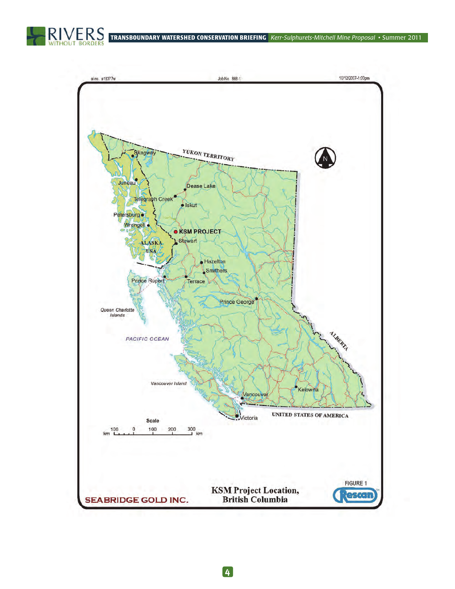

**TRANSBOUNDARY WATERSHED CONSERVATION BRIEFING** *Kerr-Sulphurets-Mitchell Mine Proposal* • Summer 2011

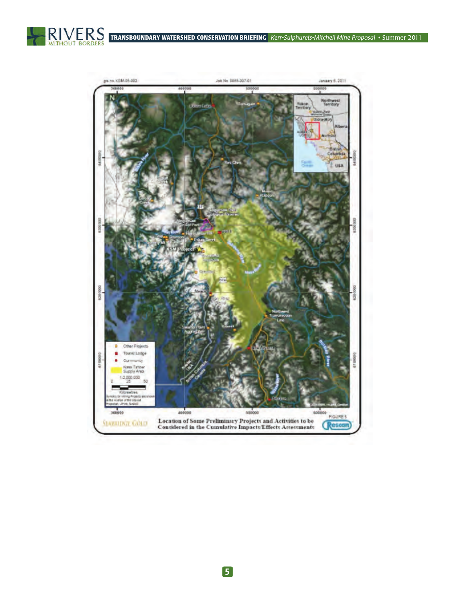



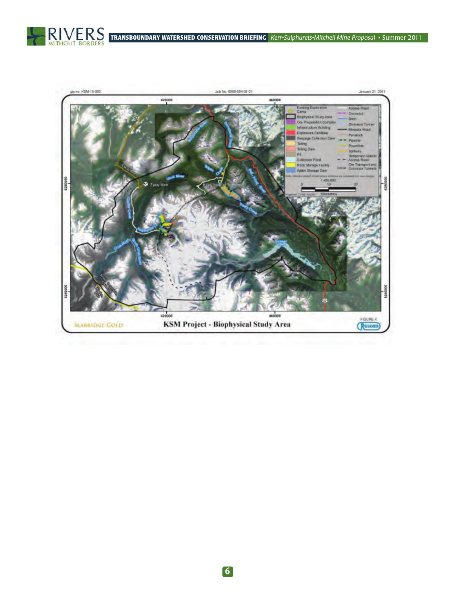